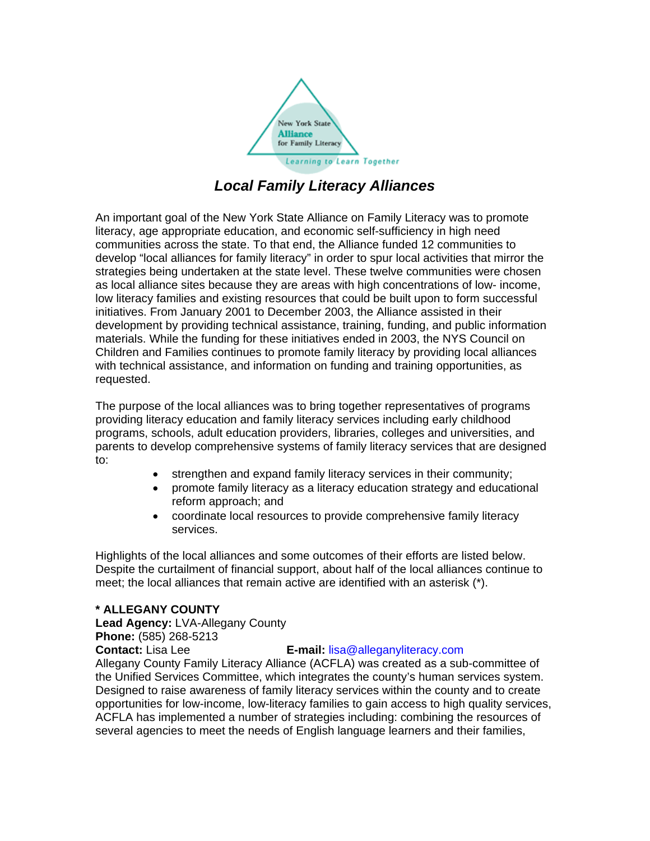

# *Local Family Literacy Alliances*

An important goal of the New York State Alliance on Family Literacy was to promote literacy, age appropriate education, and economic self-sufficiency in high need communities across the state. To that end, the Alliance funded 12 communities to develop "local alliances for family literacy" in order to spur local activities that mirror the strategies being undertaken at the state level. These twelve communities were chosen as local alliance sites because they are areas with high concentrations of low- income, low literacy families and existing resources that could be built upon to form successful initiatives. From January 2001 to December 2003, the Alliance assisted in their development by providing technical assistance, training, funding, and public information materials. While the funding for these initiatives ended in 2003, the NYS Council on Children and Families continues to promote family literacy by providing local alliances with technical assistance, and information on funding and training opportunities, as requested.

The purpose of the local alliances was to bring together representatives of programs providing literacy education and family literacy services including early childhood programs, schools, adult education providers, libraries, colleges and universities, and parents to develop comprehensive systems of family literacy services that are designed to:

- strengthen and expand family literacy services in their community;
- promote family literacy as a literacy education strategy and educational reform approach; and
- coordinate local resources to provide comprehensive family literacy services.

Highlights of the local alliances and some outcomes of their efforts are listed below. Despite the curtailment of financial support, about half of the local alliances continue to meet; the local alliances that remain active are identified with an asterisk (\*).

# **\* ALLEGANY COUNTY**

**Lead Agency:** LVA-Allegany County **Phone:** (585) 268-5213 **Contact:** Lisa Lee **E-mail:** lisa@alleganyliteracy.com Allegany County Family Literacy Alliance (ACFLA) was created as a sub-committee of the Unified Services Committee, which integrates the county's human services system. Designed to raise awareness of family literacy services within the county and to create opportunities for low-income, low-literacy families to gain access to high quality services, ACFLA has implemented a number of strategies including: combining the resources of several agencies to meet the needs of English language learners and their families,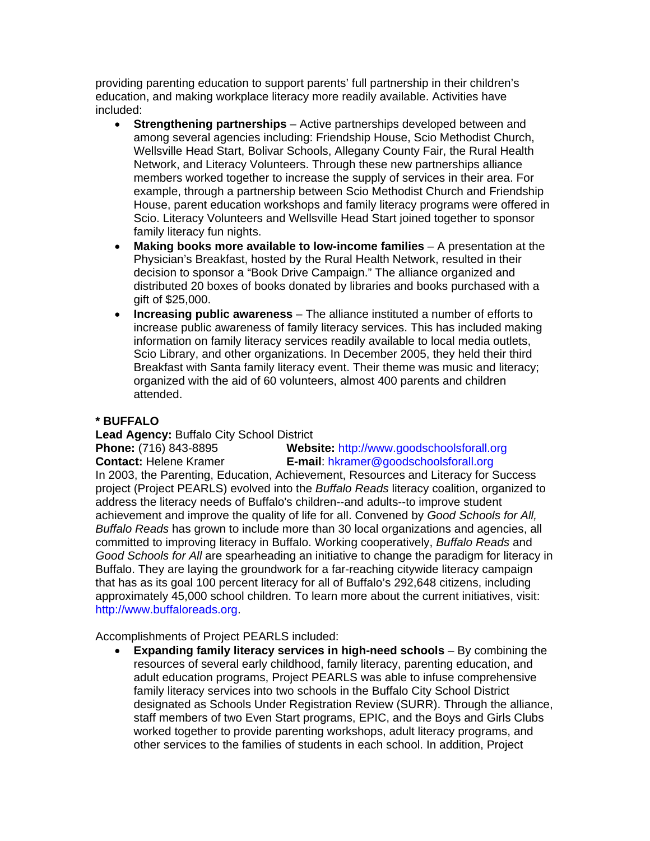providing parenting education to support parents' full partnership in their children's education, and making workplace literacy more readily available. Activities have included:

- **Strengthening partnerships**  Active partnerships developed between and among several agencies including: Friendship House, Scio Methodist Church, Wellsville Head Start, Bolivar Schools, Allegany County Fair, the Rural Health Network, and Literacy Volunteers. Through these new partnerships alliance members worked together to increase the supply of services in their area. For example, through a partnership between Scio Methodist Church and Friendship House, parent education workshops and family literacy programs were offered in Scio. Literacy Volunteers and Wellsville Head Start joined together to sponsor family literacy fun nights.
- **Making books more available to low-income families**  A presentation at the Physician's Breakfast, hosted by the Rural Health Network, resulted in their decision to sponsor a "Book Drive Campaign." The alliance organized and distributed 20 boxes of books donated by libraries and books purchased with a gift of \$25,000.
- **Increasing public awareness**  The alliance instituted a number of efforts to increase public awareness of family literacy services. This has included making information on family literacy services readily available to local media outlets, Scio Library, and other organizations. In December 2005, they held their third Breakfast with Santa family literacy event. Their theme was music and literacy; organized with the aid of 60 volunteers, almost 400 parents and children attended.

# **\* BUFFALO**

**Lead Agency:** Buffalo City School District

**Phone:** (716) 843-8895 **Website:** http://www.goodschoolsforall.org **Contact:** Helene Kramer **E-mail**: hkramer@goodschoolsforall.org In 2003, the Parenting, Education, Achievement, Resources and Literacy for Success project (Project PEARLS) evolved into the *Buffalo Reads* literacy coalition, organized to address the literacy needs of Buffalo's children--and adults--to improve student achievement and improve the quality of life for all. Convened by *Good Schools for All, Buffalo Reads* has grown to include more than 30 local organizations and agencies, all committed to improving literacy in Buffalo. Working cooperatively, *Buffalo Reads* and *Good Schools for All* are spearheading an initiative to change the paradigm for literacy in Buffalo. They are laying the groundwork for a far-reaching citywide literacy campaign that has as its goal 100 percent literacy for all of Buffalo's 292,648 citizens, including approximately 45,000 school children. To learn more about the current initiatives, visit: http://www.buffaloreads.org.

Accomplishments of Project PEARLS included:

• **Expanding family literacy services in high-need schools** – By combining the resources of several early childhood, family literacy, parenting education, and adult education programs, Project PEARLS was able to infuse comprehensive family literacy services into two schools in the Buffalo City School District designated as Schools Under Registration Review (SURR). Through the alliance, staff members of two Even Start programs, EPIC, and the Boys and Girls Clubs worked together to provide parenting workshops, adult literacy programs, and other services to the families of students in each school. In addition, Project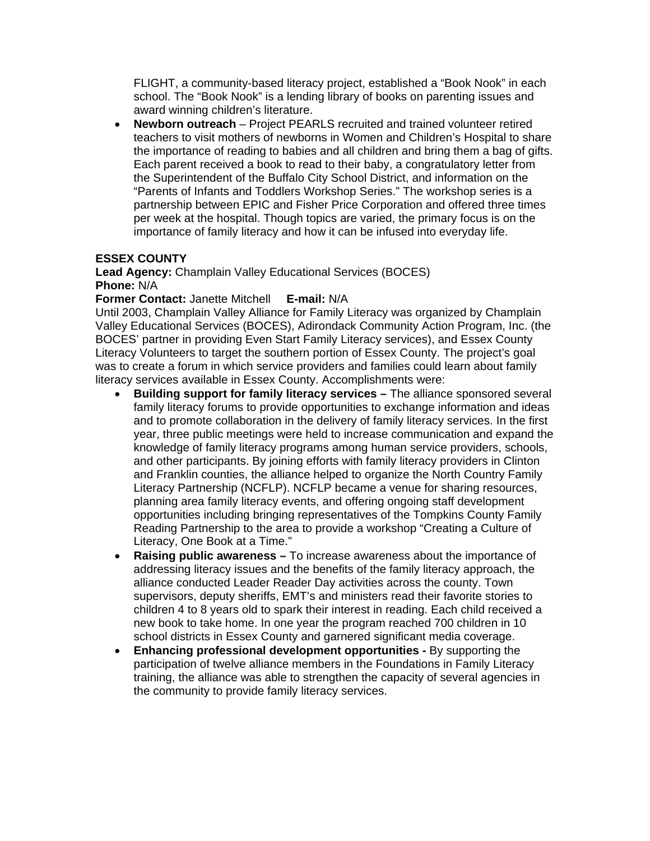FLIGHT, a community-based literacy project, established a "Book Nook" in each school. The "Book Nook" is a lending library of books on parenting issues and award winning children's literature.

• **Newborn outreach** – Project PEARLS recruited and trained volunteer retired teachers to visit mothers of newborns in Women and Children's Hospital to share the importance of reading to babies and all children and bring them a bag of gifts. Each parent received a book to read to their baby, a congratulatory letter from the Superintendent of the Buffalo City School District, and information on the "Parents of Infants and Toddlers Workshop Series." The workshop series is a partnership between EPIC and Fisher Price Corporation and offered three times per week at the hospital. Though topics are varied, the primary focus is on the importance of family literacy and how it can be infused into everyday life.

# **ESSEX COUNTY**

**Lead Agency:** Champlain Valley Educational Services (BOCES) **Phone:** N/A

#### **Former Contact:** Janette Mitchell **E-mail:** N/A

Until 2003, Champlain Valley Alliance for Family Literacy was organized by Champlain Valley Educational Services (BOCES), Adirondack Community Action Program, Inc. (the BOCES' partner in providing Even Start Family Literacy services), and Essex County Literacy Volunteers to target the southern portion of Essex County. The project's goal was to create a forum in which service providers and families could learn about family literacy services available in Essex County. Accomplishments were:

- **Building support for family literacy services** The alliance sponsored several family literacy forums to provide opportunities to exchange information and ideas and to promote collaboration in the delivery of family literacy services. In the first year, three public meetings were held to increase communication and expand the knowledge of family literacy programs among human service providers, schools, and other participants. By joining efforts with family literacy providers in Clinton and Franklin counties, the alliance helped to organize the North Country Family Literacy Partnership (NCFLP). NCFLP became a venue for sharing resources, planning area family literacy events, and offering ongoing staff development opportunities including bringing representatives of the Tompkins County Family Reading Partnership to the area to provide a workshop "Creating a Culture of Literacy, One Book at a Time."
- **Raising public awareness** To increase awareness about the importance of addressing literacy issues and the benefits of the family literacy approach, the alliance conducted Leader Reader Day activities across the county. Town supervisors, deputy sheriffs, EMT's and ministers read their favorite stories to children 4 to 8 years old to spark their interest in reading. Each child received a new book to take home. In one year the program reached 700 children in 10 school districts in Essex County and garnered significant media coverage.
- **Enhancing professional development opportunities** By supporting the participation of twelve alliance members in the Foundations in Family Literacy training, the alliance was able to strengthen the capacity of several agencies in the community to provide family literacy services.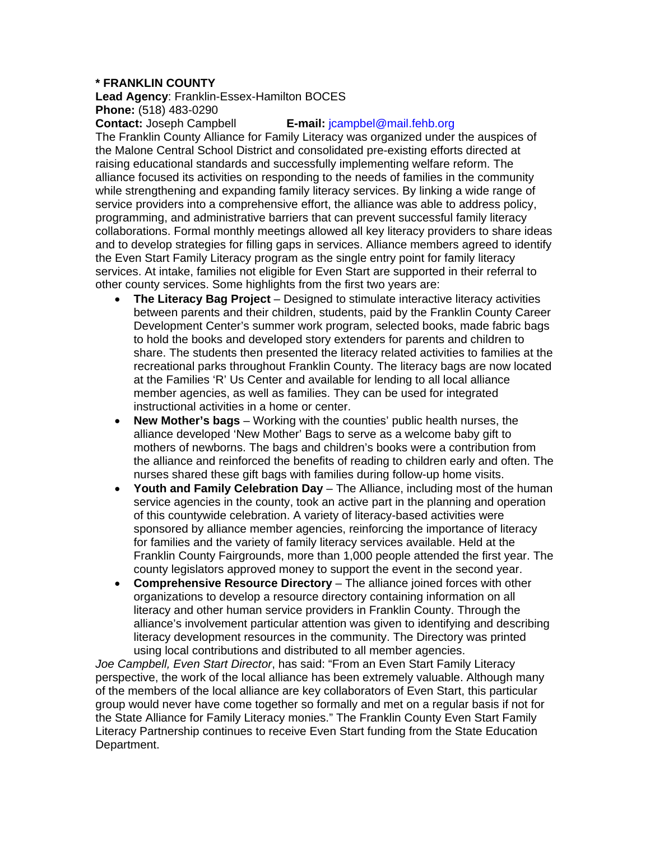# **\* FRANKLIN COUNTY**

**Lead Agency**: Franklin-Essex-Hamilton BOCES **Phone:** (518) 483-0290

#### **Contact:** Joseph Campbell **E-mail:** jcampbel@mail.fehb.org

The Franklin County Alliance for Family Literacy was organized under the auspices of the Malone Central School District and consolidated pre-existing efforts directed at raising educational standards and successfully implementing welfare reform. The alliance focused its activities on responding to the needs of families in the community while strengthening and expanding family literacy services. By linking a wide range of service providers into a comprehensive effort, the alliance was able to address policy, programming, and administrative barriers that can prevent successful family literacy collaborations. Formal monthly meetings allowed all key literacy providers to share ideas and to develop strategies for filling gaps in services. Alliance members agreed to identify the Even Start Family Literacy program as the single entry point for family literacy services. At intake, families not eligible for Even Start are supported in their referral to other county services. Some highlights from the first two years are:

- **The Literacy Bag Project**  Designed to stimulate interactive literacy activities between parents and their children, students, paid by the Franklin County Career Development Center's summer work program, selected books, made fabric bags to hold the books and developed story extenders for parents and children to share. The students then presented the literacy related activities to families at the recreational parks throughout Franklin County. The literacy bags are now located at the Families 'R' Us Center and available for lending to all local alliance member agencies, as well as families. They can be used for integrated instructional activities in a home or center.
- **New Mother's bags**  Working with the counties' public health nurses, the alliance developed 'New Mother' Bags to serve as a welcome baby gift to mothers of newborns. The bags and children's books were a contribution from the alliance and reinforced the benefits of reading to children early and often. The nurses shared these gift bags with families during follow-up home visits.
- **Youth and Family Celebration Day**  The Alliance, including most of the human service agencies in the county, took an active part in the planning and operation of this countywide celebration. A variety of literacy-based activities were sponsored by alliance member agencies, reinforcing the importance of literacy for families and the variety of family literacy services available. Held at the Franklin County Fairgrounds, more than 1,000 people attended the first year. The county legislators approved money to support the event in the second year.
- **Comprehensive Resource Directory**  The alliance joined forces with other organizations to develop a resource directory containing information on all literacy and other human service providers in Franklin County. Through the alliance's involvement particular attention was given to identifying and describing literacy development resources in the community. The Directory was printed using local contributions and distributed to all member agencies.

*Joe Campbell, Even Start Director*, has said: "From an Even Start Family Literacy perspective, the work of the local alliance has been extremely valuable. Although many of the members of the local alliance are key collaborators of Even Start, this particular group would never have come together so formally and met on a regular basis if not for the State Alliance for Family Literacy monies." The Franklin County Even Start Family Literacy Partnership continues to receive Even Start funding from the State Education Department.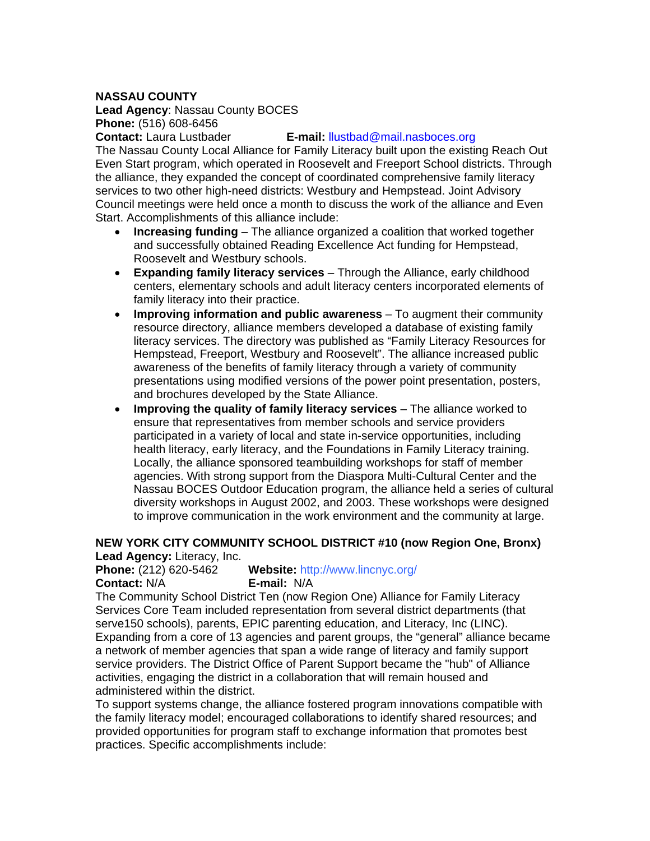### **NASSAU COUNTY**

**Lead Agency**: Nassau County BOCES **Phone:** (516) 608-6456

#### **Contact:** Laura Lustbader **E-mail:** llustbad@mail.nasboces.org

The Nassau County Local Alliance for Family Literacy built upon the existing Reach Out Even Start program, which operated in Roosevelt and Freeport School districts. Through the alliance, they expanded the concept of coordinated comprehensive family literacy services to two other high-need districts: Westbury and Hempstead. Joint Advisory Council meetings were held once a month to discuss the work of the alliance and Even Start. Accomplishments of this alliance include:

- **Increasing funding**  The alliance organized a coalition that worked together and successfully obtained Reading Excellence Act funding for Hempstead, Roosevelt and Westbury schools.
- **Expanding family literacy services**  Through the Alliance, early childhood centers, elementary schools and adult literacy centers incorporated elements of family literacy into their practice.
- **Improving information and public awareness**  To augment their community resource directory, alliance members developed a database of existing family literacy services. The directory was published as "Family Literacy Resources for Hempstead, Freeport, Westbury and Roosevelt". The alliance increased public awareness of the benefits of family literacy through a variety of community presentations using modified versions of the power point presentation, posters, and brochures developed by the State Alliance.
- **Improving the quality of family literacy services** The alliance worked to ensure that representatives from member schools and service providers participated in a variety of local and state in-service opportunities, including health literacy, early literacy, and the Foundations in Family Literacy training. Locally, the alliance sponsored teambuilding workshops for staff of member agencies. With strong support from the Diaspora Multi-Cultural Center and the Nassau BOCES Outdoor Education program, the alliance held a series of cultural diversity workshops in August 2002, and 2003. These workshops were designed to improve communication in the work environment and the community at large.

#### **NEW YORK CITY COMMUNITY SCHOOL DISTRICT #10 (now Region One, Bronx) Lead Agency:** Literacy, Inc.

**Phone:** (212) 620-5462 **Website:** http://www.lincnyc.org/ **Contact:** N/A **E-mail:** N/A

The Community School District Ten (now Region One) Alliance for Family Literacy Services Core Team included representation from several district departments (that serve150 schools), parents, EPIC parenting education, and Literacy, Inc (LINC). Expanding from a core of 13 agencies and parent groups, the "general" alliance became a network of member agencies that span a wide range of literacy and family support service providers. The District Office of Parent Support became the "hub" of Alliance activities, engaging the district in a collaboration that will remain housed and administered within the district.

To support systems change, the alliance fostered program innovations compatible with the family literacy model; encouraged collaborations to identify shared resources; and provided opportunities for program staff to exchange information that promotes best practices. Specific accomplishments include: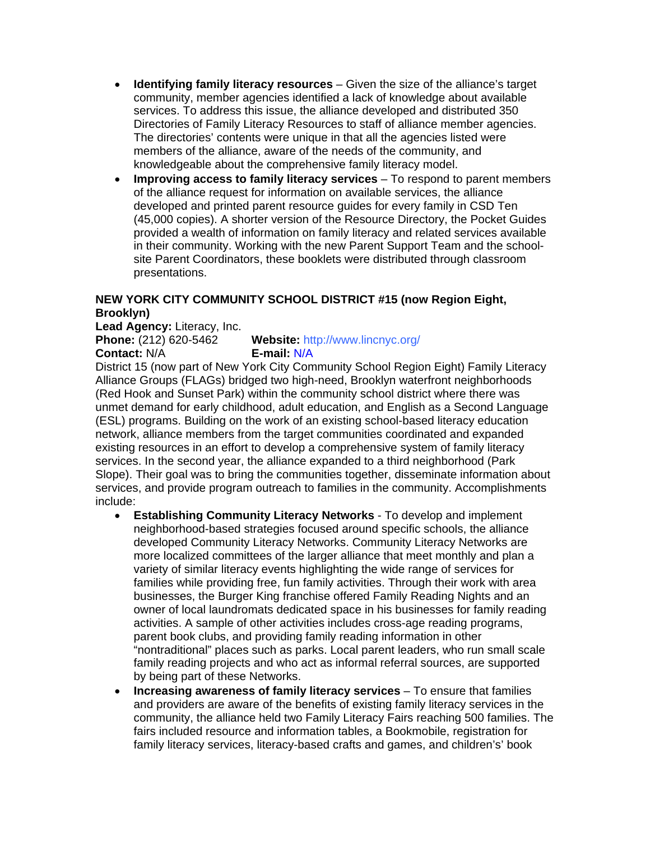- **Identifying family literacy resources**  Given the size of the alliance's target community, member agencies identified a lack of knowledge about available services. To address this issue, the alliance developed and distributed 350 Directories of Family Literacy Resources to staff of alliance member agencies. The directories' contents were unique in that all the agencies listed were members of the alliance, aware of the needs of the community, and knowledgeable about the comprehensive family literacy model.
- **Improving access to family literacy services**  To respond to parent members of the alliance request for information on available services, the alliance developed and printed parent resource guides for every family in CSD Ten (45,000 copies). A shorter version of the Resource Directory, the Pocket Guides provided a wealth of information on family literacy and related services available in their community. Working with the new Parent Support Team and the schoolsite Parent Coordinators, these booklets were distributed through classroom presentations.

# **NEW YORK CITY COMMUNITY SCHOOL DISTRICT #15 (now Region Eight, Brooklyn)**

**Lead Agency:** Literacy, Inc.

**Phone:** (212) 620-5462 **Website:** http://www.lincnyc.org/ **Contact:** N/A **E-mail:** N/A

District 15 (now part of New York City Community School Region Eight) Family Literacy Alliance Groups (FLAGs) bridged two high-need, Brooklyn waterfront neighborhoods (Red Hook and Sunset Park) within the community school district where there was unmet demand for early childhood, adult education, and English as a Second Language (ESL) programs. Building on the work of an existing school-based literacy education network, alliance members from the target communities coordinated and expanded existing resources in an effort to develop a comprehensive system of family literacy services. In the second year, the alliance expanded to a third neighborhood (Park Slope). Their goal was to bring the communities together, disseminate information about services, and provide program outreach to families in the community. Accomplishments include:

- **Establishing Community Literacy Networks**  To develop and implement neighborhood-based strategies focused around specific schools, the alliance developed Community Literacy Networks. Community Literacy Networks are more localized committees of the larger alliance that meet monthly and plan a variety of similar literacy events highlighting the wide range of services for families while providing free, fun family activities. Through their work with area businesses, the Burger King franchise offered Family Reading Nights and an owner of local laundromats dedicated space in his businesses for family reading activities. A sample of other activities includes cross-age reading programs, parent book clubs, and providing family reading information in other "nontraditional" places such as parks. Local parent leaders, who run small scale family reading projects and who act as informal referral sources, are supported by being part of these Networks.
- **Increasing awareness of family literacy services**  To ensure that families and providers are aware of the benefits of existing family literacy services in the community, the alliance held two Family Literacy Fairs reaching 500 families. The fairs included resource and information tables, a Bookmobile, registration for family literacy services, literacy-based crafts and games, and children's' book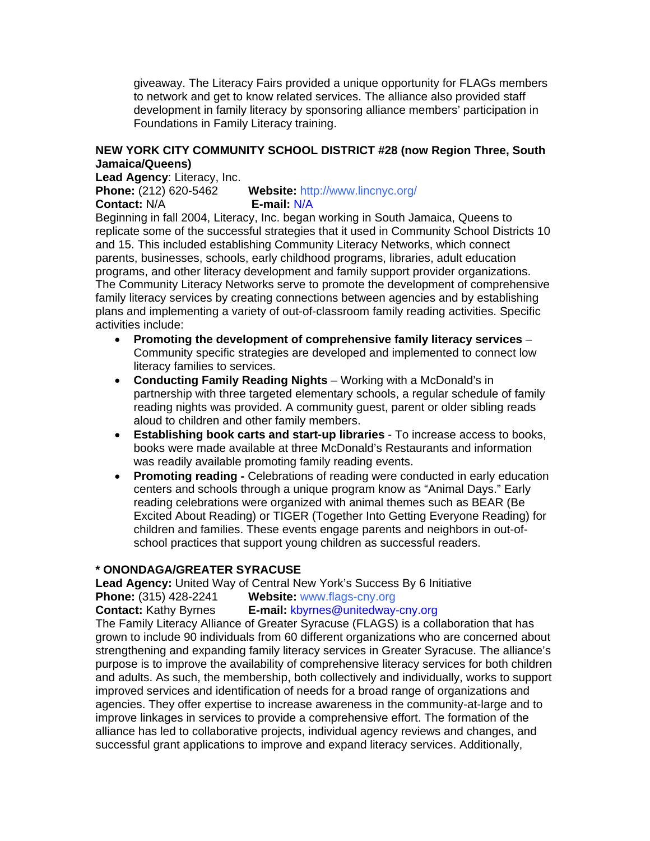giveaway. The Literacy Fairs provided a unique opportunity for FLAGs members to network and get to know related services. The alliance also provided staff development in family literacy by sponsoring alliance members' participation in Foundations in Family Literacy training.

# **NEW YORK CITY COMMUNITY SCHOOL DISTRICT #28 (now Region Three, South Jamaica/Queens)**

**Lead Agency**: Literacy, Inc.

**Phone:** (212) 620-5462 **Website:** http://www.lincnyc.org/ **Contact:** N/A **E-mail:** N/A

Beginning in fall 2004, Literacy, Inc. began working in South Jamaica, Queens to replicate some of the successful strategies that it used in Community School Districts 10 and 15. This included establishing Community Literacy Networks, which connect parents, businesses, schools, early childhood programs, libraries, adult education programs, and other literacy development and family support provider organizations. The Community Literacy Networks serve to promote the development of comprehensive family literacy services by creating connections between agencies and by establishing plans and implementing a variety of out-of-classroom family reading activities. Specific activities include:

- **Promoting the development of comprehensive family literacy services**  Community specific strategies are developed and implemented to connect low literacy families to services.
- **Conducting Family Reading Nights**  Working with a McDonald's in partnership with three targeted elementary schools, a regular schedule of family reading nights was provided. A community guest, parent or older sibling reads aloud to children and other family members.
- **Establishing book carts and start-up libraries**  To increase access to books, books were made available at three McDonald's Restaurants and information was readily available promoting family reading events.
- **Promoting reading** Celebrations of reading were conducted in early education centers and schools through a unique program know as "Animal Days." Early reading celebrations were organized with animal themes such as BEAR (Be Excited About Reading) or TIGER (Together Into Getting Everyone Reading) for children and families. These events engage parents and neighbors in out-ofschool practices that support young children as successful readers.

# **\* ONONDAGA/GREATER SYRACUSE**

**Lead Agency:** United Way of Central New York's Success By 6 Initiative

**Phone:** (315) 428-2241 **Website:** www.flags-cny.org

**Contact:** Kathy Byrnes **E-mail:** kbyrnes@unitedway-cny.org

The Family Literacy Alliance of Greater Syracuse (FLAGS) is a collaboration that has grown to include 90 individuals from 60 different organizations who are concerned about strengthening and expanding family literacy services in Greater Syracuse. The alliance's purpose is to improve the availability of comprehensive literacy services for both children and adults. As such, the membership, both collectively and individually, works to support improved services and identification of needs for a broad range of organizations and agencies. They offer expertise to increase awareness in the community-at-large and to improve linkages in services to provide a comprehensive effort. The formation of the alliance has led to collaborative projects, individual agency reviews and changes, and successful grant applications to improve and expand literacy services. Additionally,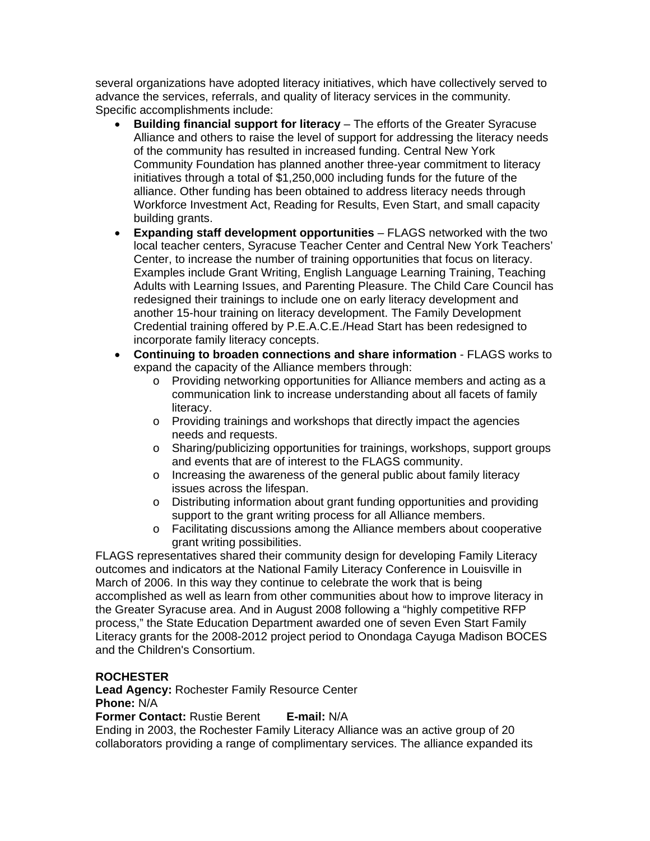several organizations have adopted literacy initiatives, which have collectively served to advance the services, referrals, and quality of literacy services in the community*.*  Specific accomplishments include:

- **Building financial support for literacy**  The efforts of the Greater Syracuse Alliance and others to raise the level of support for addressing the literacy needs of the community has resulted in increased funding. Central New York Community Foundation has planned another three-year commitment to literacy initiatives through a total of \$1,250,000 including funds for the future of the alliance. Other funding has been obtained to address literacy needs through Workforce Investment Act, Reading for Results, Even Start, and small capacity building grants.
- **Expanding staff development opportunities**  FLAGS networked with the two local teacher centers, Syracuse Teacher Center and Central New York Teachers' Center, to increase the number of training opportunities that focus on literacy. Examples include Grant Writing, English Language Learning Training, Teaching Adults with Learning Issues, and Parenting Pleasure. The Child Care Council has redesigned their trainings to include one on early literacy development and another 15-hour training on literacy development. The Family Development Credential training offered by P.E.A.C.E./Head Start has been redesigned to incorporate family literacy concepts.
- **Continuing to broaden connections and share information**  FLAGS works to expand the capacity of the Alliance members through:
	- o Providing networking opportunities for Alliance members and acting as a communication link to increase understanding about all facets of family literacy.
	- o Providing trainings and workshops that directly impact the agencies needs and requests.
	- o Sharing/publicizing opportunities for trainings, workshops, support groups and events that are of interest to the FLAGS community.
	- o Increasing the awareness of the general public about family literacy issues across the lifespan.
	- o Distributing information about grant funding opportunities and providing support to the grant writing process for all Alliance members.
	- o Facilitating discussions among the Alliance members about cooperative grant writing possibilities.

FLAGS representatives shared their community design for developing Family Literacy outcomes and indicators at the National Family Literacy Conference in Louisville in March of 2006. In this way they continue to celebrate the work that is being accomplished as well as learn from other communities about how to improve literacy in the Greater Syracuse area. And in August 2008 following a "highly competitive RFP process," the State Education Department awarded one of seven Even Start Family Literacy grants for the 2008-2012 project period to Onondaga Cayuga Madison BOCES and the Children's Consortium.

# **ROCHESTER**

**Lead Agency:** Rochester Family Resource Center **Phone:** N/A

**Former Contact:** Rustie Berent **E-mail:** N/A

Ending in 2003, the Rochester Family Literacy Alliance was an active group of 20 collaborators providing a range of complimentary services. The alliance expanded its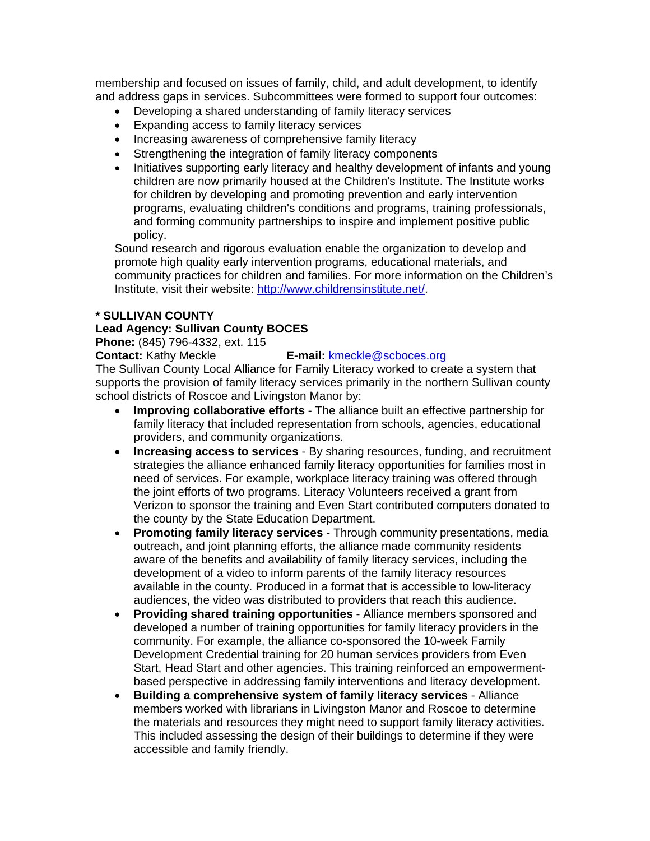membership and focused on issues of family, child, and adult development, to identify and address gaps in services. Subcommittees were formed to support four outcomes:

- Developing a shared understanding of family literacy services
- Expanding access to family literacy services
- Increasing awareness of comprehensive family literacy
- Strengthening the integration of family literacy components
- Initiatives supporting early literacy and healthy development of infants and young children are now primarily housed at the Children's Institute. The Institute works for children by developing and promoting prevention and early intervention programs, evaluating children's conditions and programs, training professionals, and forming community partnerships to inspire and implement positive public policy.

Sound research and rigorous evaluation enable the organization to develop and promote high quality early intervention programs, educational materials, and community practices for children and families. For more information on the Children's Institute, visit their website: http://www.childrensinstitute.net/.

#### **\* SULLIVAN COUNTY**

#### **Lead Agency: Sullivan County BOCES**

**Phone:** (845) 796-4332, ext. 115

#### **Contact:** Kathy Meckle **E-mail:** kmeckle@scboces.org

The Sullivan County Local Alliance for Family Literacy worked to create a system that supports the provision of family literacy services primarily in the northern Sullivan county school districts of Roscoe and Livingston Manor by:

- **Improving collaborative efforts**  The alliance built an effective partnership for family literacy that included representation from schools, agencies, educational providers, and community organizations.
- **Increasing access to services**  By sharing resources, funding, and recruitment strategies the alliance enhanced family literacy opportunities for families most in need of services. For example, workplace literacy training was offered through the joint efforts of two programs. Literacy Volunteers received a grant from Verizon to sponsor the training and Even Start contributed computers donated to the county by the State Education Department.
- **Promoting family literacy services**  Through community presentations, media outreach, and joint planning efforts, the alliance made community residents aware of the benefits and availability of family literacy services, including the development of a video to inform parents of the family literacy resources available in the county. Produced in a format that is accessible to low-literacy audiences, the video was distributed to providers that reach this audience.
- **Providing shared training opportunities**  Alliance members sponsored and developed a number of training opportunities for family literacy providers in the community. For example, the alliance co-sponsored the 10-week Family Development Credential training for 20 human services providers from Even Start, Head Start and other agencies. This training reinforced an empowermentbased perspective in addressing family interventions and literacy development.
- **Building a comprehensive system of family literacy services**  Alliance members worked with librarians in Livingston Manor and Roscoe to determine the materials and resources they might need to support family literacy activities. This included assessing the design of their buildings to determine if they were accessible and family friendly.